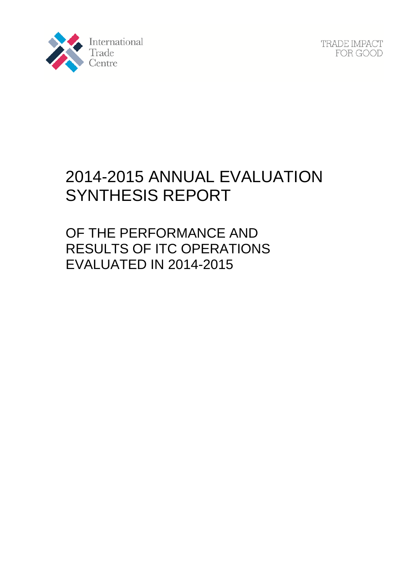



# 2014-2015 ANNUAL EVALUATION SYNTHESIS REPORT

OF THE PERFORMANCE AND RESULTS OF ITC OPERATIONS EVALUATED IN 2014-2015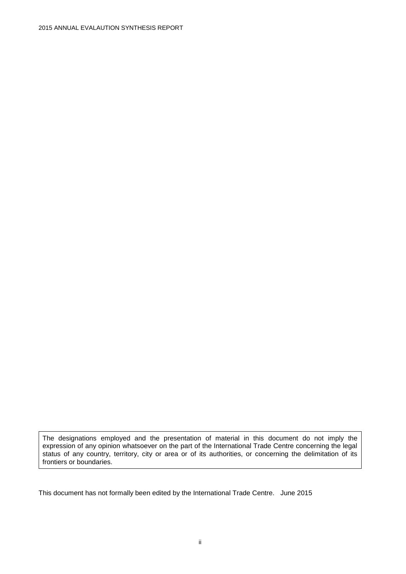The designations employed and the presentation of material in this document do not imply the expression of any opinion whatsoever on the part of the International Trade Centre concerning the legal status of any country, territory, city or area or of its authorities, or concerning the delimitation of its frontiers or boundaries.

This document has not formally been edited by the International Trade Centre. June 2015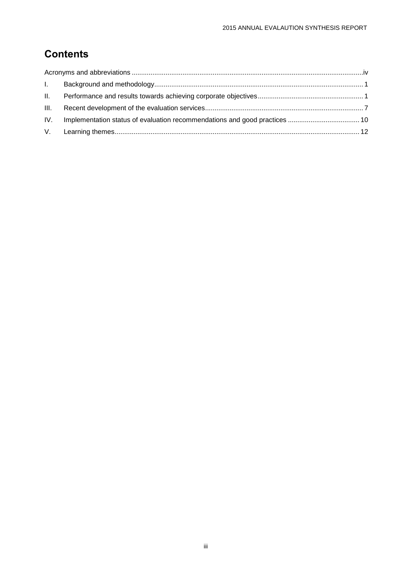## **Contents**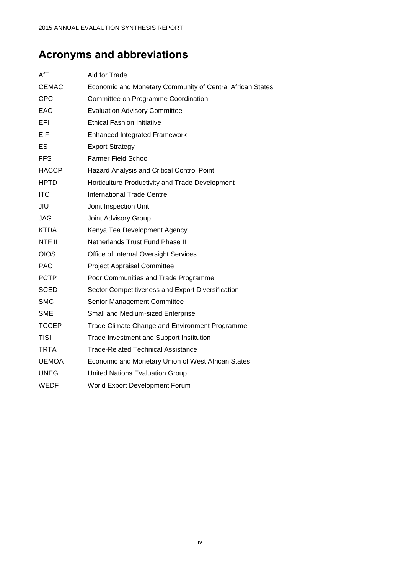# <span id="page-3-0"></span>**Acronyms and abbreviations**

| AfT          | Aid for Trade                                             |
|--------------|-----------------------------------------------------------|
| <b>CEMAC</b> | Economic and Monetary Community of Central African States |
| <b>CPC</b>   | Committee on Programme Coordination                       |
| EAC          | <b>Evaluation Advisory Committee</b>                      |
| EFI.         | <b>Ethical Fashion Initiative</b>                         |
| EIF          | <b>Enhanced Integrated Framework</b>                      |
| <b>ES</b>    | <b>Export Strategy</b>                                    |
| <b>FFS</b>   | <b>Farmer Field School</b>                                |
| <b>HACCP</b> | <b>Hazard Analysis and Critical Control Point</b>         |
| <b>HPTD</b>  | Horticulture Productivity and Trade Development           |
| <b>ITC</b>   | <b>International Trade Centre</b>                         |
| JIU          | Joint Inspection Unit                                     |
| <b>JAG</b>   | Joint Advisory Group                                      |
| <b>KTDA</b>  | Kenya Tea Development Agency                              |
| NTF II       | Netherlands Trust Fund Phase II                           |
| <b>OIOS</b>  | Office of Internal Oversight Services                     |
| <b>PAC</b>   | <b>Project Appraisal Committee</b>                        |
| <b>PCTP</b>  | Poor Communities and Trade Programme                      |
| <b>SCED</b>  | Sector Competitiveness and Export Diversification         |
| <b>SMC</b>   | Senior Management Committee                               |
| <b>SME</b>   | Small and Medium-sized Enterprise                         |
| <b>TCCEP</b> | Trade Climate Change and Environment Programme            |
| <b>TISI</b>  | Trade Investment and Support Institution                  |
| <b>TRTA</b>  | Trade-Related Technical Assistance                        |
| <b>UEMOA</b> | Economic and Monetary Union of West African States        |
| <b>UNEG</b>  | <b>United Nations Evaluation Group</b>                    |
| <b>WEDF</b>  | World Export Development Forum                            |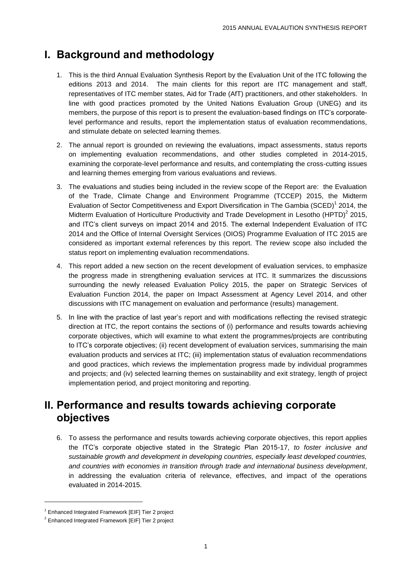# <span id="page-4-0"></span>**I. Background and methodology**

- 1. This is the third Annual Evaluation Synthesis Report by the Evaluation Unit of the ITC following the editions 2013 and 2014. The main clients for this report are ITC management and staff, representatives of ITC member states, Aid for Trade (AfT) practitioners, and other stakeholders. In line with good practices promoted by the United Nations Evaluation Group (UNEG) and its members, the purpose of this report is to present the evaluation-based findings on ITC's corporatelevel performance and results, report the implementation status of evaluation recommendations, and stimulate debate on selected learning themes.
- 2. The annual report is grounded on reviewing the evaluations, impact assessments, status reports on implementing evaluation recommendations, and other studies completed in 2014-2015, examining the corporate-level performance and results, and contemplating the cross-cutting issues and learning themes emerging from various evaluations and reviews.
- 3. The evaluations and studies being included in the review scope of the Report are: the Evaluation of the Trade, Climate Change and Environment Programme (TCCEP) 2015, the Midterm Evaluation of Sector Competitiveness and Export Diversification in The Gambia (SCED)<sup>1</sup> 2014, the Midterm Evaluation of Horticulture Productivity and Trade Development in Lesotho (HPTD)<sup>2</sup> 2015, and ITC's client surveys on impact 2014 and 2015. The external Independent Evaluation of ITC 2014 and the Office of Internal Oversight Services (OIOS) Programme Evaluation of ITC 2015 are considered as important external references by this report. The review scope also included the status report on implementing evaluation recommendations.
- 4. This report added a new section on the recent development of evaluation services, to emphasize the progress made in strengthening evaluation services at ITC. It summarizes the discussions surrounding the newly released Evaluation Policy 2015, the paper on Strategic Services of Evaluation Function 2014, the paper on Impact Assessment at Agency Level 2014, and other discussions with ITC management on evaluation and performance (results) management.
- 5. In line with the practice of last year's report and with modifications reflecting the revised strategic direction at ITC, the report contains the sections of (i) performance and results towards achieving corporate objectives, which will examine to what extent the programmes/projects are contributing to ITC's corporate objectives; (ii) recent development of evaluation services, summarising the main evaluation products and services at ITC; (iii) implementation status of evaluation recommendations and good practices, which reviews the implementation progress made by individual programmes and projects; and (iv) selected learning themes on sustainability and exit strategy, length of project implementation period, and project monitoring and reporting.

# <span id="page-4-1"></span>**II. Performance and results towards achieving corporate objectives**

6. To assess the performance and results towards achieving corporate objectives, this report applies the ITC's corporate objective stated in the Strategic Plan 2015-17, *to foster inclusive and sustainable growth and development in developing countries, especially least developed countries, and countries with economies in transition through trade and international business development*, in addressing the evaluation criteria of relevance, effectives, and impact of the operations evaluated in 2014-2015.

l

<sup>&</sup>lt;sup>1</sup> Enhanced Integrated Framework [EIF] Tier 2 project

<sup>2</sup> Enhanced Integrated Framework [EIF] Tier 2 project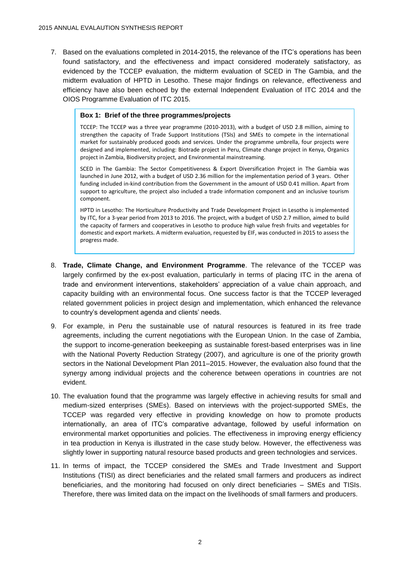7. Based on the evaluations completed in 2014-2015, the relevance of the ITC's operations has been found satisfactory, and the effectiveness and impact considered moderately satisfactory, as evidenced by the TCCEP evaluation, the midterm evaluation of SCED in The Gambia, and the midterm evaluation of HPTD in Lesotho. These major findings on relevance, effectiveness and efficiency have also been echoed by the external Independent Evaluation of ITC 2014 and the OIOS Programme Evaluation of ITC 2015.

#### **Box 1: Brief of the three programmes/projects**

TCCEP: The TCCEP was a three year programme (2010-2013), with a budget of USD 2.8 million, aiming to strengthen the capacity of Trade Support Institutions (TSIs) and SMEs to compete in the international market for sustainably produced goods and services. Under the programme umbrella, four projects were designed and implemented, including: Biotrade project in Peru, Climate change project in Kenya, Organics project in Zambia, Biodiversity project, and Environmental mainstreaming.

SCED in The Gambia: The Sector Competitiveness & Export Diversification Project in The Gambia was launched in June 2012, with a budget of USD 2.36 million for the implementation period of 3 years. Other funding included in-kind contribution from the Government in the amount of USD 0.41 million. Apart from support to agriculture, the project also included a trade information component and an inclusive tourism component.

HPTD in Lesotho: The Horticulture Productivity and Trade Development Project in Lesotho is implemented by ITC, for a 3-year period from 2013 to 2016. The project, with a budget of USD 2.7 million, aimed to build the capacity of farmers and cooperatives in Lesotho to produce high value fresh fruits and vegetables for domestic and export markets. A midterm evaluation, requested by EIF, was conducted in 2015 to assess the progress made.

- 8. **Trade, Climate Change, and Environment Programme**. The relevance of the TCCEP was largely confirmed by the ex-post evaluation, particularly in terms of placing ITC in the arena of trade and environment interventions, stakeholders' appreciation of a value chain approach, and capacity building with an environmental focus. One success factor is that the TCCEP leveraged related government policies in project design and implementation, which enhanced the relevance to country's development agenda and clients' needs.
- 9. For example, in Peru the sustainable use of natural resources is featured in its free trade agreements, including the current negotiations with the European Union. In the case of Zambia, the support to income-generation beekeeping as sustainable forest-based enterprises was in line with the National Poverty Reduction Strategy (2007), and agriculture is one of the priority growth sectors in the National Development Plan 2011–2015. However, the evaluation also found that the synergy among individual projects and the coherence between operations in countries are not evident.
- 10. The evaluation found that the programme was largely effective in achieving results for small and medium-sized enterprises (SMEs). Based on interviews with the project-supported SMEs, the TCCEP was regarded very effective in providing knowledge on how to promote products internationally, an area of ITC's comparative advantage, followed by useful information on environmental market opportunities and policies. The effectiveness in improving energy efficiency in tea production in Kenya is illustrated in the case study below. However, the effectiveness was slightly lower in supporting natural resource based products and green technologies and services.
- 11. In terms of impact, the TCCEP considered the SMEs and Trade Investment and Support Institutions (TISI) as direct beneficiaries and the related small farmers and producers as indirect beneficiaries, and the monitoring had focused on only direct beneficiaries – SMEs and TISIs. Therefore, there was limited data on the impact on the livelihoods of small farmers and producers.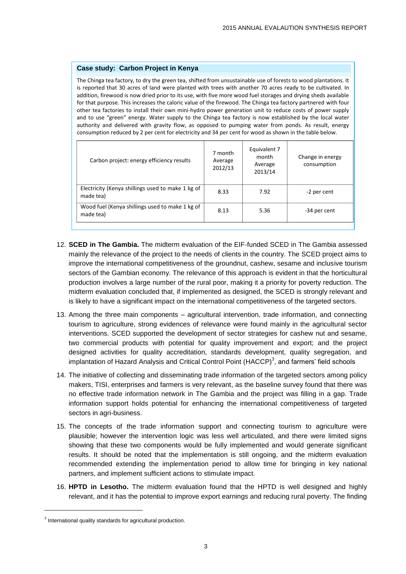#### **Case study: Carbon Project in Kenya**

The Chinga tea factory, to dry the green tea, shifted from unsustainable use of forests to wood plantations. It is reported that 30 acres of land were planted with trees with another 70 acres ready to be cultivated. In addition, firewood is now dried prior to its use, with five more wood fuel storages and drying sheds available for that purpose. This increases the caloric value of the firewood. The Chinga tea factory partnered with four other tea factories to install their own mini-hydro power generation unit to reduce costs of power supply and to use "green" energy. Water supply to the Chinga tea factory is now established by the local water authority and delivered with gravity flow, as opposed to pumping water from ponds. As result, energy consumption reduced by 2 per cent for electricity and 34 per cent for wood as shown in the table below.

| Carbon project: energy efficiency results                      | 7 month<br>Average<br>2012/13 | Equivalent 7<br>month<br>Average<br>2013/14 | Change in energy<br>consumption |
|----------------------------------------------------------------|-------------------------------|---------------------------------------------|---------------------------------|
| Electricity (Kenya shillings used to make 1 kg of<br>made tea) | 8.33                          | 7.92                                        | -2 per cent                     |
| Wood fuel (Kenya shillings used to make 1 kg of<br>made tea)   | 8.13                          | 5.36                                        | -34 per cent                    |
|                                                                |                               |                                             |                                 |

- 12. **SCED in The Gambia.** The midterm evaluation of the EIF-funded SCED in The Gambia assessed mainly the relevance of the project to the needs of clients in the country. The SCED project aims to improve the international competitiveness of the groundnut, cashew, sesame and inclusive tourism sectors of the Gambian economy. The relevance of this approach is evident in that the horticultural production involves a large number of the rural poor, making it a priority for poverty reduction. The midterm evaluation concluded that, if implemented as designed, the SCED is strongly relevant and is likely to have a significant impact on the international competitiveness of the targeted sectors.
- 13. Among the three main components agricultural intervention, trade information, and connecting tourism to agriculture, strong evidences of relevance were found mainly in the agricultural sector interventions. SCED supported the development of sector strategies for cashew nut and sesame, two commercial products with potential for quality improvement and export; and the project designed activities for quality accreditation, standards development, quality segregation, and implantation of Hazard Analysis and Critical Control Point (HACCP)<sup>3</sup>, and farmers' field schools
- 14. The initiative of collecting and disseminating trade information of the targeted sectors among policy makers, TISI, enterprises and farmers is very relevant, as the baseline survey found that there was no effective trade information network in The Gambia and the project was filling in a gap. Trade information support holds potential for enhancing the international competitiveness of targeted sectors in agri-business.
- 15. The concepts of the trade information support and connecting tourism to agriculture were plausible; however the intervention logic was less well articulated, and there were limited signs showing that these two components would be fully implemented and would generate significant results. It should be noted that the implementation is still ongoing, and the midterm evaluation recommended extending the implementation period to allow time for bringing in key national partners, and implement sufficient actions to stimulate impact.
- 16. **HPTD in Lesotho.** The midterm evaluation found that the HPTD is well designed and highly relevant, and it has the potential to improve export earnings and reducing rural poverty. The finding

 $\overline{a}$ 

 $3$  International quality standards for agricultural production.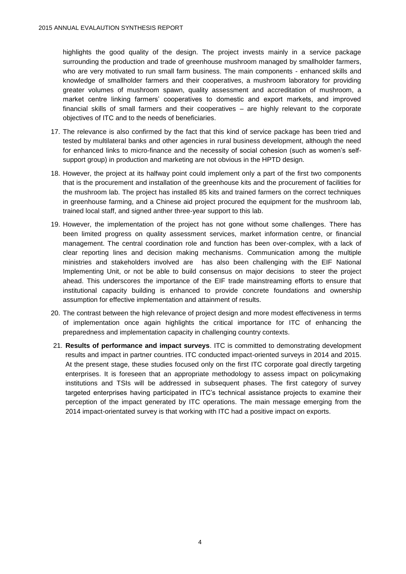highlights the good quality of the design. The project invests mainly in a service package surrounding the production and trade of greenhouse mushroom managed by smallholder farmers, who are very motivated to run small farm business. The main components - enhanced skills and knowledge of smallholder farmers and their cooperatives, a mushroom laboratory for providing greater volumes of mushroom spawn, quality assessment and accreditation of mushroom, a market centre linking farmers' cooperatives to domestic and export markets, and improved financial skills of small farmers and their cooperatives – are highly relevant to the corporate objectives of ITC and to the needs of beneficiaries.

- 17. The relevance is also confirmed by the fact that this kind of service package has been tried and tested by multilateral banks and other agencies in rural business development, although the need for enhanced links to micro-finance and the necessity of social cohesion (such as women's selfsupport group) in production and marketing are not obvious in the HPTD design.
- 18. However, the project at its halfway point could implement only a part of the first two components that is the procurement and installation of the greenhouse kits and the procurement of facilities for the mushroom lab. The project has installed 85 kits and trained farmers on the correct techniques in greenhouse farming, and a Chinese aid project procured the equipment for the mushroom lab, trained local staff, and signed anther three-year support to this lab.
- 19. However, the implementation of the project has not gone without some challenges. There has been limited progress on quality assessment services, market information centre, or financial management. The central coordination role and function has been over-complex, with a lack of clear reporting lines and decision making mechanisms. Communication among the multiple ministries and stakeholders involved are has also been challenging with the EIF National Implementing Unit, or not be able to build consensus on major decisions to steer the project ahead. This underscores the importance of the EIF trade mainstreaming efforts to ensure that institutional capacity building is enhanced to provide concrete foundations and ownership assumption for effective implementation and attainment of results.
- 20. The contrast between the high relevance of project design and more modest effectiveness in terms of implementation once again highlights the critical importance for ITC of enhancing the preparedness and implementation capacity in challenging country contexts.
- 21. **Results of performance and impact surveys**. ITC is committed to demonstrating development results and impact in partner countries. ITC conducted impact-oriented surveys in 2014 and 2015. At the present stage, these studies focused only on the first ITC corporate goal directly targeting enterprises. It is foreseen that an appropriate methodology to assess impact on policymaking institutions and TSIs will be addressed in subsequent phases. The first category of survey targeted enterprises having participated in ITC's technical assistance projects to examine their perception of the impact generated by ITC operations. The main message emerging from the 2014 impact-orientated survey is that working with ITC had a positive impact on exports.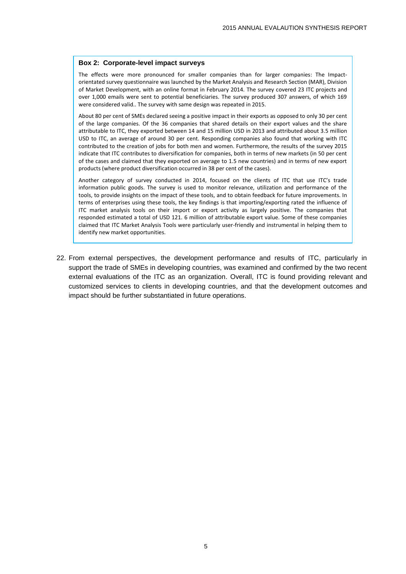#### **Box 2: Corporate-level impact surveys**

The effects were more pronounced for smaller companies than for larger companies: The Impactorientated survey questionnaire was launched by the Market Analysis and Research Section (MAR), Division of Market Development, with an online format in February 2014. The survey covered 23 ITC projects and over 1,000 emails were sent to potential beneficiaries. The survey produced 307 answers, of which 169 were considered valid.. The survey with same design was repeated in 2015.

About 80 per cent of SMEs declared seeing a positive impact in their exports as opposed to only 30 per cent of the large companies. Of the 36 companies that shared details on their export values and the share attributable to ITC, they exported between 14 and 15 million USD in 2013 and attributed about 3.5 million USD to ITC, an average of around 30 per cent. Responding companies also found that working with ITC contributed to the creation of jobs for both men and women. Furthermore, the results of the survey 2015 indicate that ITC contributes to diversification for companies, both in terms of new markets (in 50 per cent of the cases and claimed that they exported on average to 1.5 new countries) and in terms of new export products (where product diversification occurred in 38 per cent of the cases).

Another category of survey conducted in 2014, focused on the clients of ITC that use ITC's trade information public goods. The survey is used to monitor relevance, utilization and performance of the tools, to provide insights on the impact of these tools, and to obtain feedback for future improvements. In terms of enterprises using these tools, the key findings is that importing/exporting rated the influence of ITC market analysis tools on their import or export activity as largely positive. The companies that responded estimated a total of USD 121. 6 million of attributable export value. Some of these companies claimed that ITC Market Analysis Tools were particularly user-friendly and instrumental in helping them to identify new market opportunities.

22. From external perspectives, the development performance and results of ITC, particularly in support the trade of SMEs in developing countries, was examined and confirmed by the two recent external evaluations of the ITC as an organization. Overall, ITC is found providing relevant and customized services to clients in developing countries, and that the development outcomes and impact should be further substantiated in future operations.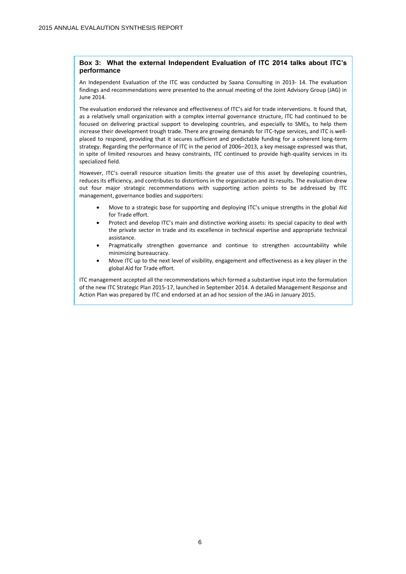#### **Box 3: What the external Independent Evaluation of ITC 2014 talks about ITC's performance**

An Independent Evaluation of the ITC was conducted by Saana Consulting in 2013- 14. The evaluation findings and recommendations were presented to the annual meeting of the Joint Advisory Group (JAG) in June 2014.

The evaluation endorsed the relevance and effectiveness of ITC's aid for trade interventions. It found that, as a relatively small organization with a complex internal governance structure, ITC had continued to be focused on delivering practical support to developing countries, and especially to SMEs, to help them increase their development trough trade. There are growing demands for ITC-type services, and ITC is wellplaced to respond, providing that it secures sufficient and predictable funding for a coherent long-term strategy. Regarding the performance of ITC in the period of 2006–2013, a key message expressed was that, in spite of limited resources and heavy constraints, ITC continued to provide high-quality services in its specialized field.

However, ITC's overall resource situation limits the greater use of this asset by developing countries, reduces its efficiency, and contributes to distortions in the organization and its results. The evaluation drew out four major strategic recommendations with supporting action points to be addressed by ITC management, governance bodies and supporters:

- Move to a strategic base for supporting and deploying ITC's unique strengths in the global Aid for Trade effort.
- Protect and develop ITC's main and distinctive working assets: its special capacity to deal with the private sector in trade and its excellence in technical expertise and appropriate technical assistance.
- Pragmatically strengthen governance and continue to strengthen accountability while minimizing bureaucracy.
- Move ITC up to the next level of visibility, engagement and effectiveness as a key player in the global Aid for Trade effort.

ITC management accepted all the recommendations which formed a substantive input into the formulation of the new ITC Strategic Plan 2015-17, launched in September 2014. A detailed Management Response and Action Plan was prepared by ITC and endorsed at an ad hoc session of the JAG in January 2015.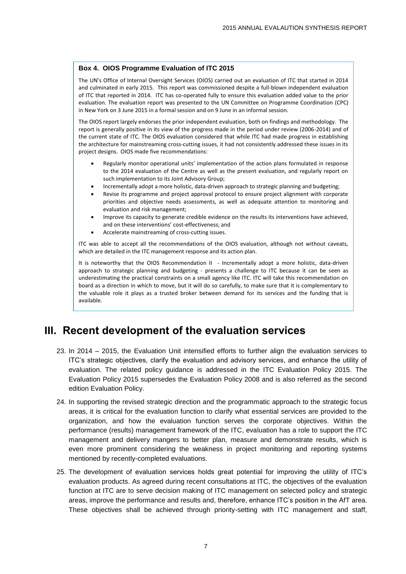#### **Box 4. OIOS Programme Evaluation of ITC 2015**

The UN's Office of Internal Oversight Services (OIOS) carried out an evaluation of ITC that started in 2014 and culminated in early 2015. This report was commissioned despite a full-blown independent evaluation of ITC that reported in 2014. ITC has co-operated fully to ensure this evaluation added value to the prior evaluation. The evaluation report was presented to the UN Committee on Programme Coordination (CPC) in New York on 3 June 2015 in a formal session and on 9 June in an informal session.

The OIOS report largely endorses the prior independent evaluation, both on findings and methodology. The report is generally positive in its view of the progress made in the period under review (2006-2014) and of the current state of ITC. The OIOS evaluation considered that while ITC had made progress in establishing the architecture for mainstreaming cross-cutting issues, it had not consistently addressed these issues in its project designs. OIOS made five recommendations:

- Regularly monitor operational units' implementation of the action plans formulated in response to the 2014 evaluation of the Centre as well as the present evaluation, and regularly report on such implementation to its Joint Advisory Group;
- Incrementally adopt a more holistic, data-driven approach to strategic planning and budgeting;
- Revise its programme and project approval protocol to ensure project alignment with corporate priorities and objective needs assessments, as well as adequate attention to monitoring and evaluation and risk management;
- Improve its capacity to generate credible evidence on the results its interventions have achieved, and on these interventions' cost-effectiveness; and
- Accelerate mainstreaming of cross-cutting issues.

ITC was able to accept all the recommendations of the OIOS evaluation, although not without caveats, which are detailed in the ITC management response and its action plan.

It is noteworthy that the OIOS Recommendation II - Incrementally adopt a more holistic, data-driven approach to strategic planning and budgeting - presents a challenge to ITC because it can be seen as underestimating the practical constraints on a small agency like ITC. ITC will take this recommendation on board as a direction in which to move, but it will do so carefully, to make sure that it is complementary to the valuable role it plays as a trusted broker between demand for its services and the funding that is available.

### <span id="page-10-0"></span>**III. Recent development of the evaluation services**

- 23. In 2014 2015, the Evaluation Unit intensified efforts to further align the evaluation services to ITC's strategic objectives, clarify the evaluation and advisory services, and enhance the utility of evaluation. The related policy guidance is addressed in the ITC Evaluation Policy 2015. The Evaluation Policy 2015 supersedes the Evaluation Policy 2008 and is also referred as the second edition Evaluation Policy.
- 24. In supporting the revised strategic direction and the programmatic approach to the strategic focus areas, it is critical for the evaluation function to clarify what essential services are provided to the organization, and how the evaluation function serves the corporate objectives. Within the performance (results) management framework of the ITC, evaluation has a role to support the ITC management and delivery mangers to better plan, measure and demonstrate results, which is even more prominent considering the weakness in project monitoring and reporting systems mentioned by recently-completed evaluations.
- 25. The development of evaluation services holds great potential for improving the utility of ITC's evaluation products. As agreed during recent consultations at ITC, the objectives of the evaluation function at ITC are to serve decision making of ITC management on selected policy and strategic areas, improve the performance and results and, therefore, enhance ITC's position in the AfT area. These objectives shall be achieved through priority-setting with ITC management and staff,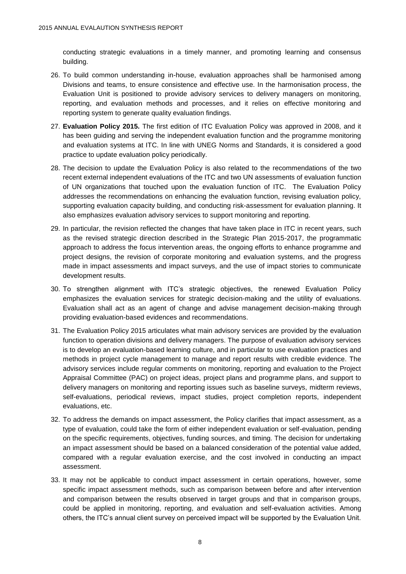conducting strategic evaluations in a timely manner, and promoting learning and consensus building.

- 26. To build common understanding in-house, evaluation approaches shall be harmonised among Divisions and teams, to ensure consistence and effective use. In the harmonisation process, the Evaluation Unit is positioned to provide advisory services to delivery managers on monitoring, reporting, and evaluation methods and processes, and it relies on effective monitoring and reporting system to generate quality evaluation findings.
- 27. **Evaluation Policy 2015.** The first edition of ITC Evaluation Policy was approved in 2008, and it has been guiding and serving the independent evaluation function and the programme monitoring and evaluation systems at ITC. In line with UNEG Norms and Standards, it is considered a good practice to update evaluation policy periodically.
- 28. The decision to update the Evaluation Policy is also related to the recommendations of the two recent external independent evaluations of the ITC and two UN assessments of evaluation function of UN organizations that touched upon the evaluation function of ITC. The Evaluation Policy addresses the recommendations on enhancing the evaluation function, revising evaluation policy, supporting evaluation capacity building, and conducting risk-assessment for evaluation planning. It also emphasizes evaluation advisory services to support monitoring and reporting.
- 29. In particular, the revision reflected the changes that have taken place in ITC in recent years, such as the revised strategic direction described in the Strategic Plan 2015-2017, the programmatic approach to address the focus intervention areas, the ongoing efforts to enhance programme and project designs, the revision of corporate monitoring and evaluation systems, and the progress made in impact assessments and impact surveys, and the use of impact stories to communicate development results.
- 30. To strengthen alignment with ITC's strategic objectives, the renewed Evaluation Policy emphasizes the evaluation services for strategic decision-making and the utility of evaluations. Evaluation shall act as an agent of change and advise management decision-making through providing evaluation-based evidences and recommendations.
- 31. The Evaluation Policy 2015 articulates what main advisory services are provided by the evaluation function to operation divisions and delivery managers. The purpose of evaluation advisory services is to develop an evaluation-based learning culture, and in particular to use evaluation practices and methods in project cycle management to manage and report results with credible evidence. The advisory services include regular comments on monitoring, reporting and evaluation to the Project Appraisal Committee (PAC) on project ideas, project plans and programme plans, and support to delivery managers on monitoring and reporting issues such as baseline surveys, midterm reviews, self-evaluations, periodical reviews, impact studies, project completion reports, independent evaluations, etc.
- 32. To address the demands on impact assessment, the Policy clarifies that impact assessment, as a type of evaluation, could take the form of either independent evaluation or self-evaluation, pending on the specific requirements, objectives, funding sources, and timing. The decision for undertaking an impact assessment should be based on a balanced consideration of the potential value added, compared with a regular evaluation exercise, and the cost involved in conducting an impact assessment.
- 33. It may not be applicable to conduct impact assessment in certain operations, however, some specific impact assessment methods, such as comparison between before and after intervention and comparison between the results observed in target groups and that in comparison groups, could be applied in monitoring, reporting, and evaluation and self-evaluation activities. Among others, the ITC's annual client survey on perceived impact will be supported by the Evaluation Unit.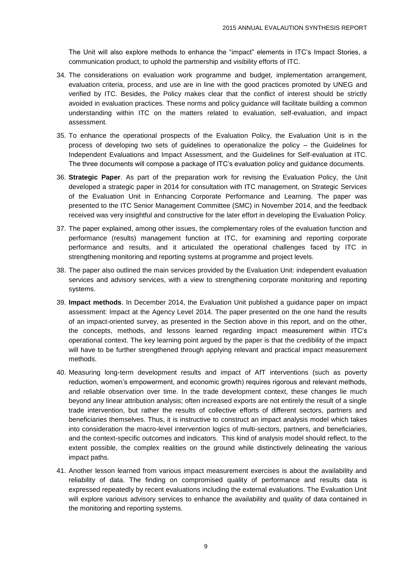The Unit will also explore methods to enhance the "impact" elements in ITC's Impact Stories, a communication product, to uphold the partnership and visibility efforts of ITC.

- 34. The considerations on evaluation work programme and budget, implementation arrangement, evaluation criteria, process, and use are in line with the good practices promoted by UNEG and verified by ITC. Besides, the Policy makes clear that the conflict of interest should be strictly avoided in evaluation practices. These norms and policy guidance will facilitate building a common understanding within ITC on the matters related to evaluation, self-evaluation, and impact assessment.
- 35. To enhance the operational prospects of the Evaluation Policy, the Evaluation Unit is in the process of developing two sets of guidelines to operationalize the policy – the Guidelines for Independent Evaluations and Impact Assessment, and the Guidelines for Self-evaluation at ITC. The three documents will compose a package of ITC's evaluation policy and guidance documents.
- 36. **Strategic Paper**. As part of the preparation work for revising the Evaluation Policy, the Unit developed a strategic paper in 2014 for consultation with ITC management, on Strategic Services of the Evaluation Unit in Enhancing Corporate Performance and Learning. The paper was presented to the ITC Senior Management Committee (SMC) in November 2014, and the feedback received was very insightful and constructive for the later effort in developing the Evaluation Policy.
- 37. The paper explained, among other issues, the complementary roles of the evaluation function and performance (results) management function at ITC, for examining and reporting corporate performance and results, and it articulated the operational challenges faced by ITC in strengthening monitoring and reporting systems at programme and project levels.
- 38. The paper also outlined the main services provided by the Evaluation Unit: independent evaluation services and advisory services, with a view to strengthening corporate monitoring and reporting systems.
- 39. **Impact methods**. In December 2014, the Evaluation Unit published a guidance paper on impact assessment: Impact at the Agency Level 2014. The paper presented on the one hand the results of an impact-oriented survey, as presented in the Section above in this report, and on the other, the concepts, methods, and lessons learned regarding impact measurement within ITC's operational context. The key learning point argued by the paper is that the credibility of the impact will have to be further strengthened through applying relevant and practical impact measurement methods.
- 40. Measuring long-term development results and impact of AfT interventions (such as poverty reduction, women's empowerment, and economic growth) requires rigorous and relevant methods, and reliable observation over time. In the trade development context, these changes lie much beyond any linear attribution analysis; often increased exports are not entirely the result of a single trade intervention, but rather the results of collective efforts of different sectors, partners and beneficiaries themselves. Thus, it is instructive to construct an impact analysis model which takes into consideration the macro-level intervention logics of multi-sectors, partners, and beneficiaries, and the context-specific outcomes and indicators. This kind of analysis model should reflect, to the extent possible, the complex realities on the ground while distinctively delineating the various impact paths.
- 41. Another lesson learned from various impact measurement exercises is about the availability and reliability of data. The finding on compromised quality of performance and results data is expressed repeatedly by recent evaluations including the external evaluations. The Evaluation Unit will explore various advisory services to enhance the availability and quality of data contained in the monitoring and reporting systems.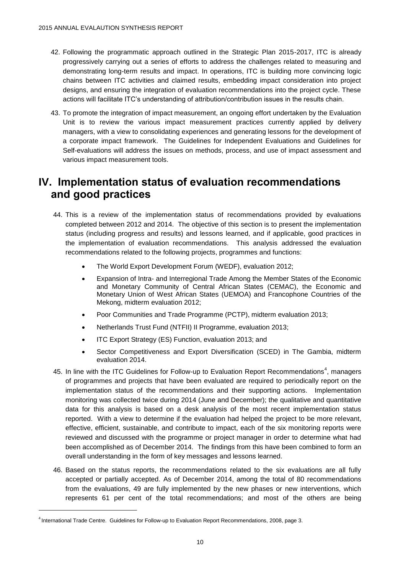- 42. Following the programmatic approach outlined in the Strategic Plan 2015-2017, ITC is already progressively carrying out a series of efforts to address the challenges related to measuring and demonstrating long-term results and impact. In operations, ITC is building more convincing logic chains between ITC activities and claimed results, embedding impact consideration into project designs, and ensuring the integration of evaluation recommendations into the project cycle. These actions will facilitate ITC's understanding of attribution/contribution issues in the results chain.
- 43. To promote the integration of impact measurement, an ongoing effort undertaken by the Evaluation Unit is to review the various impact measurement practices currently applied by delivery managers, with a view to consolidating experiences and generating lessons for the development of a corporate impact framework. The Guidelines for Independent Evaluations and Guidelines for Self-evaluations will address the issues on methods, process, and use of impact assessment and various impact measurement tools.

# <span id="page-13-0"></span>**IV. Implementation status of evaluation recommendations and good practices**

- 44. This is a review of the implementation status of recommendations provided by evaluations completed between 2012 and 2014. The objective of this section is to present the implementation status (including progress and results) and lessons learned, and if applicable, good practices in the implementation of evaluation recommendations. This analysis addressed the evaluation recommendations related to the following projects, programmes and functions:
	- The World Export Development Forum (WEDF), evaluation 2012;
	- Expansion of Intra- and Interregional Trade Among the Member States of the Economic and Monetary Community of Central African States (CEMAC), the Economic and Monetary Union of West African States (UEMOA) and Francophone Countries of the Mekong, midterm evaluation 2012;
	- Poor Communities and Trade Programme (PCTP), midterm evaluation 2013;
	- Netherlands Trust Fund (NTFII) II Programme, evaluation 2013;
	- ITC Export Strategy (ES) Function, evaluation 2013; and
	- Sector Competitiveness and Export Diversification (SCED) in The Gambia, midterm evaluation 2014.
- 45. In line with the ITC Guidelines for Follow-up to Evaluation Report Recommendations<sup>4</sup>, managers of programmes and projects that have been evaluated are required to periodically report on the implementation status of the recommendations and their supporting actions. Implementation monitoring was collected twice during 2014 (June and December); the qualitative and quantitative data for this analysis is based on a desk analysis of the most recent implementation status reported. With a view to determine if the evaluation had helped the project to be more relevant, effective, efficient, sustainable, and contribute to impact, each of the six monitoring reports were reviewed and discussed with the programme or project manager in order to determine what had been accomplished as of December 2014. The findings from this have been combined to form an overall understanding in the form of key messages and lessons learned.
- 46. Based on the status reports, the recommendations related to the six evaluations are all fully accepted or partially accepted. As of December 2014, among the total of 80 recommendations from the evaluations, 49 are fully implemented by the new phases or new interventions, which represents 61 per cent of the total recommendations; and most of the others are being

-

<sup>4</sup> International Trade Centre. Guidelines for Follow-up to Evaluation Report Recommendations, 2008, page 3.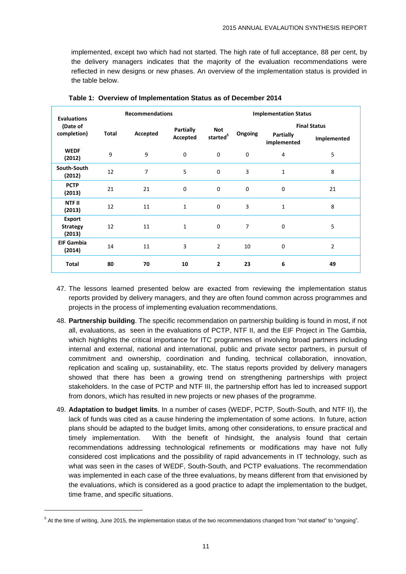implemented, except two which had not started. The high rate of full acceptance, 88 per cent, by the delivery managers indicates that the majority of the evaluation recommendations were reflected in new designs or new phases. An overview of the implementation status is provided in the table below.

| <b>Evaluations</b>                         | <b>Recommendations</b> |                |                       |                             | <b>Implementation Status</b> |                          |                |
|--------------------------------------------|------------------------|----------------|-----------------------|-----------------------------|------------------------------|--------------------------|----------------|
| (Date of                                   | <b>Total</b>           | Accepted       | Partially<br>Accepted | Not<br>started <sup>5</sup> | Ongoing                      | <b>Final Status</b>      |                |
| completion)                                |                        |                |                       |                             |                              | Partially<br>implemented | Implemented    |
| <b>WEDF</b><br>(2012)                      | 9                      | 9              | $\mathbf 0$           | $\mathbf 0$                 | $\mathbf 0$                  | 4                        | 5              |
| South-South<br>(2012)                      | 12                     | $\overline{7}$ | 5                     | $\mathbf 0$                 | 3                            | 1                        | 8              |
| <b>PCTP</b><br>(2013)                      | 21                     | 21             | $\mathbf 0$           | $\mathbf 0$                 | $\mathbf 0$                  | $\mathbf 0$              | 21             |
| <b>NTF II</b><br>(2013)                    | 12                     | 11             | 1                     | $\mathbf 0$                 | 3                            | $\mathbf 1$              | 8              |
| <b>Export</b><br><b>Strategy</b><br>(2013) | 12                     | 11             | 1                     | 0                           | 7                            | $\mathbf 0$              | 5              |
| <b>EIF Gambia</b><br>(2014)                | 14                     | 11             | 3                     | $\overline{2}$              | 10                           | $\mathbf 0$              | $\overline{2}$ |
| <b>Total</b>                               | 80                     | 70             | 10                    | $\overline{2}$              | 23                           | 6                        | 49             |

**Table 1: Overview of Implementation Status as of December 2014**

- 47. The lessons learned presented below are exacted from reviewing the implementation status reports provided by delivery managers, and they are often found common across programmes and projects in the process of implementing evaluation recommendations.
- 48. **Partnership building**. The specific recommendation on partnership building is found in most, if not all, evaluations, as seen in the evaluations of PCTP, NTF II, and the EIF Project in The Gambia, which highlights the critical importance for ITC programmes of involving broad partners including internal and external, national and international, public and private sector partners, in pursuit of commitment and ownership, coordination and funding, technical collaboration, innovation, replication and scaling up, sustainability, etc. The status reports provided by delivery managers showed that there has been a growing trend on strengthening partnerships with project stakeholders. In the case of PCTP and NTF III, the partnership effort has led to increased support from donors, which has resulted in new projects or new phases of the programme.
- 49. **Adaptation to budget limits**. In a number of cases (WEDF, PCTP, South-South, and NTF II), the lack of funds was cited as a cause hindering the implementation of some actions. In future, action plans should be adapted to the budget limits, among other considerations, to ensure practical and timely implementation. With the benefit of hindsight, the analysis found that certain recommendations addressing technological refinements or modifications may have not fully considered cost implications and the possibility of rapid advancements in IT technology, such as what was seen in the cases of WEDF, South-South, and PCTP evaluations. The recommendation was implemented in each case of the three evaluations, by means different from that envisioned by the evaluations, which is considered as a good practice to adapt the implementation to the budget, time frame, and specific situations.

 $\overline{a}$ 

 $<sup>5</sup>$  At the time of writing, June 2015, the implementation status of the two recommendations changed from "not started" to "ongoing".</sup>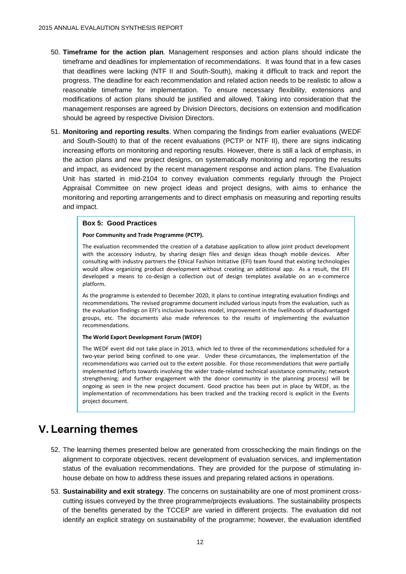- 50. **Timeframe for the action plan**. Management responses and action plans should indicate the timeframe and deadlines for implementation of recommendations. It was found that in a few cases that deadlines were lacking (NTF II and South-South), making it difficult to track and report the progress. The deadline for each recommendation and related action needs to be realistic to allow a reasonable timeframe for implementation. To ensure necessary flexibility, extensions and modifications of action plans should be justified and allowed. Taking into consideration that the management responses are agreed by Division Directors, decisions on extension and modification should be agreed by respective Division Directors.
- 51. **Monitoring and reporting results**. When comparing the findings from earlier evaluations (WEDF and South-South) to that of the recent evaluations (PCTP or NTF II), there are signs indicating increasing efforts on monitoring and reporting results. However, there is still a lack of emphasis, in the action plans and new project designs, on systematically monitoring and reporting the results and impact, as evidenced by the recent management response and action plans. The Evaluation Unit has started in mid-2104 to convey evaluation comments regularly through the Project Appraisal Committee on new project ideas and project designs, with aims to enhance the monitoring and reporting arrangements and to direct emphasis on measuring and reporting results and impact.

#### **Box 5: Good Practices**

#### **Poor Community and Trade Programme (PCTP).**

The evaluation recommended the creation of a database application to allow joint product development with the accessory industry, by sharing design files and design ideas though mobile devices. After consulting with industry partners the Ethical Fashion Initiative (EFI) team found that existing technologies would allow organizing product development without creating an additional app. As a result, the EFI developed a means to co-design a collection out of design templates available on an e-commerce platform.

As the programme is extended to December 2020, it plans to continue integrating evaluation findings and recommendations. The revised programme document included various inputs from the evaluation, such as the evaluation findings on EFI's inclusive business model, improvement in the livelihoods of disadvantaged groups, etc. The documents also made references to the results of implementing the evaluation recommendations.

#### **The World Export Development Forum (WEDF)**

The WEDF event did not take place in 2013, which led to three of the recommendations scheduled for a two-year period being confined to one year. Under these circumstances, the implementation of the recommendations was carried out to the extent possible. For those recommendations that were partially implemented (efforts towards involving the wider trade-related technical assistance community; network strengthening; and further engagement with the donor community in the planning process) will be ongoing as seen in the new project document. Good practice has been put in place by WEDF, as the implementation of recommendations has been tracked and the tracking record is explicit in the Events project document.

# <span id="page-15-0"></span>**V. Learning themes**

- 52. The learning themes presented below are generated from crosschecking the main findings on the alignment to corporate objectives, recent development of evaluation services, and implementation status of the evaluation recommendations. They are provided for the purpose of stimulating inhouse debate on how to address these issues and preparing related actions in operations.
- 53. **Sustainability and exit strategy**. The concerns on sustainability are one of most prominent crosscutting issues conveyed by the three programme/projects evaluations. The sustainability prospects of the benefits generated by the TCCEP are varied in different projects. The evaluation did not identify an explicit strategy on sustainability of the programme; however, the evaluation identified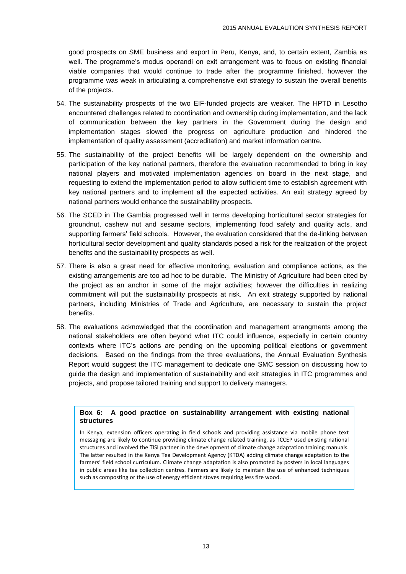good prospects on SME business and export in Peru, Kenya, and, to certain extent, Zambia as well. The programme's modus operandi on exit arrangement was to focus on existing financial viable companies that would continue to trade after the programme finished, however the programme was weak in articulating a comprehensive exit strategy to sustain the overall benefits of the projects.

- 54. The sustainability prospects of the two EIF-funded projects are weaker. The HPTD in Lesotho encountered challenges related to coordination and ownership during implementation, and the lack of communication between the key partners in the Government during the design and implementation stages slowed the progress on agriculture production and hindered the implementation of quality assessment (accreditation) and market information centre.
- 55. The sustainability of the project benefits will be largely dependent on the ownership and participation of the key national partners, therefore the evaluation recommended to bring in key national players and motivated implementation agencies on board in the next stage, and requesting to extend the implementation period to allow sufficient time to establish agreement with key national partners and to implement all the expected activities. An exit strategy agreed by national partners would enhance the sustainability prospects.
- 56. The SCED in The Gambia progressed well in terms developing horticultural sector strategies for groundnut, cashew nut and sesame sectors, implementing food safety and quality acts, and supporting farmers' field schools. However, the evaluation considered that the de-linking between horticultural sector development and quality standards posed a risk for the realization of the project benefits and the sustainability prospects as well.
- 57. There is also a great need for effective monitoring, evaluation and compliance actions, as the existing arrangements are too ad hoc to be durable. The Ministry of Agriculture had been cited by the project as an anchor in some of the major activities; however the difficulties in realizing commitment will put the sustainability prospects at risk. An exit strategy supported by national partners, including Ministries of Trade and Agriculture, are necessary to sustain the project benefits.
- 58. The evaluations acknowledged that the coordination and management arrangments among the national stakeholders are often beyond what ITC could influence, especially in certain country contexts where ITC's actions are pending on the upcoming political elections or government decisions. Based on the findings from the three evaluations, the Annual Evaluation Synthesis Report would suggest the ITC management to dedicate one SMC session on discussing how to guide the design and implementation of sustainability and exit strategies in ITC programmes and projects, and propose tailored training and support to delivery managers.

#### **Box 6: A good practice on sustainability arrangement with existing national structures**

In Kenya, extension officers operating in field schools and providing assistance via mobile phone text messaging are likely to continue providing climate change related training, as TCCEP used existing national structures and involved the TISI partner in the development of climate change adaptation training manuals. The latter resulted in the Kenya Tea Development Agency (KTDA) adding climate change adaptation to the farmers' field school curriculum. Climate change adaptation is also promoted by posters in local languages in public areas like tea collection centres. Farmers are likely to maintain the use of enhanced techniques such as composting or the use of energy efficient stoves requiring less fire wood.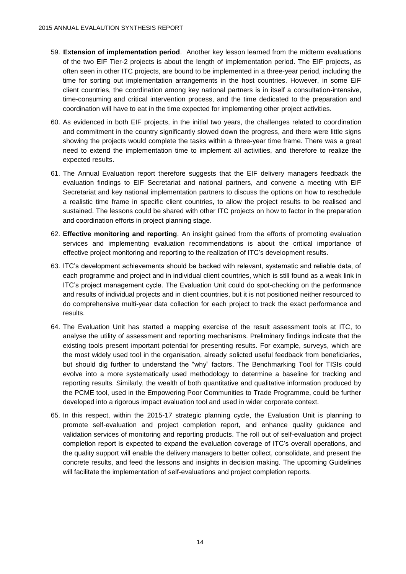- 59. **Extension of implementation period**. Another key lesson learned from the midterm evaluations of the two EIF Tier-2 projects is about the length of implementation period. The EIF projects, as often seen in other ITC projects, are bound to be implemented in a three-year period, including the time for sorting out implementation arrangements in the host countries. However, in some EIF client countries, the coordination among key national partners is in itself a consultation-intensive, time-consuming and critical intervention process, and the time dedicated to the preparation and coordination will have to eat in the time expected for implementing other project activities.
- 60. As evidenced in both EIF projects, in the initial two years, the challenges related to coordination and commitment in the country significantly slowed down the progress, and there were little signs showing the projects would complete the tasks within a three-year time frame. There was a great need to extend the implementation time to implement all activities, and therefore to realize the expected results.
- 61. The Annual Evaluation report therefore suggests that the EIF delivery managers feedback the evaluation findings to EIF Secretariat and national partners, and convene a meeting with EIF Secretariat and key national implementation partners to discuss the options on how to reschedule a realistic time frame in specific client countries, to allow the project results to be realised and sustained. The lessons could be shared with other ITC projects on how to factor in the preparation and coordination efforts in project planning stage.
- 62. **Effective monitoring and reporting**. An insight gained from the efforts of promoting evaluation services and implementing evaluation recommendations is about the critical importance of effective project monitoring and reporting to the realization of ITC's development results.
- 63. ITC's development achievements should be backed with relevant, systematic and reliable data, of each programme and project and in individual client countries, which is still found as a weak link in ITC's project management cycle. The Evaluation Unit could do spot-checking on the performance and results of individual projects and in client countries, but it is not positioned neither resourced to do comprehensive multi-year data collection for each project to track the exact performance and results.
- 64. The Evaluation Unit has started a mapping exercise of the result assessment tools at ITC, to analyse the utility of assessment and reporting mechanisms. Preliminary findings indicate that the existing tools present important potential for presenting results. For example, surveys, which are the most widely used tool in the organisation, already solicted useful feedback from beneficiaries, but should dig further to understand the "why" factors. The Benchmarking Tool for TISIs could evolve into a more systematically used methodology to determine a baseline for tracking and reporting results. Similarly, the wealth of both quantitative and qualitative information produced by the PCME tool, used in the Empowering Poor Communities to Trade Programme, could be further developed into a rigorous impact evaluation tool and used in wider corporate context.
- 65. In this respect, within the 2015-17 strategic planning cycle, the Evaluation Unit is planning to promote self-evaluation and project completion report, and enhance quality guidance and validation services of monitoring and reporting products. The roll out of self-evaluation and project completion report is expected to expand the evaluation coverage of ITC's overall operations, and the quality support will enable the delivery managers to better collect, consolidate, and present the concrete results, and feed the lessons and insights in decision making. The upcoming Guidelines will facilitate the implementation of self-evaluations and project completion reports.